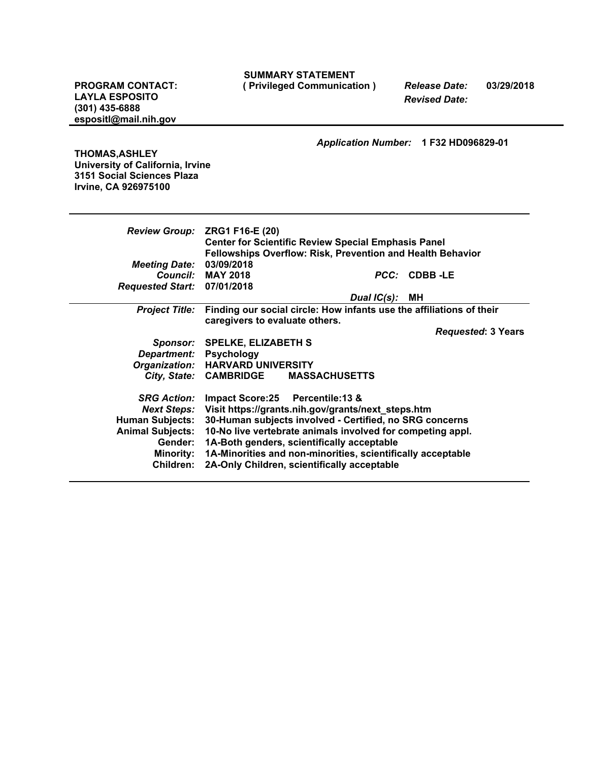| <b>SUMMARY STATEMENT</b> |  |
|--------------------------|--|
|--------------------------|--|

**PROGRAM CONTACT:** *Release Date:* **03/29/2018 ( Privileged Communication )**

**LAYLA ESPOSITO (301) 435-6888 espositl@mail.nih.gov** *Revised Date:*

*Application Number:* **1 F32 HD096829-01**

**THOMAS,ASHLEY University of California, Irvine 3151 Social Sciences Plaza Irvine, CA 926975100**

| <b>Review Group:</b>        | ZRG1 F16-E (20)                                                      |                |                           |
|-----------------------------|----------------------------------------------------------------------|----------------|---------------------------|
|                             | <b>Center for Scientific Review Special Emphasis Panel</b>           |                |                           |
|                             | <b>Fellowships Overflow: Risk, Prevention and Health Behavior</b>    |                |                           |
| <b>Meeting Date:</b>        | 03/09/2018                                                           |                |                           |
|                             | Council: MAY 2018                                                    |                | PCC: CDBB-LE              |
| Requested Start: 07/01/2018 |                                                                      |                |                           |
|                             |                                                                      | Dual IC(s): MH |                           |
| <b>Project Title:</b>       | Finding our social circle: How infants use the affiliations of their |                |                           |
|                             | caregivers to evaluate others.                                       |                |                           |
|                             |                                                                      |                | <b>Requested: 3 Years</b> |
|                             | Sponsor: SPELKE, ELIZABETH S                                         |                |                           |
| Department: Psychology      |                                                                      |                |                           |
|                             | Organization: HARVARD UNIVERSITY                                     |                |                           |
|                             | City, State: CAMBRIDGE<br><b>MASSACHUSETTS</b>                       |                |                           |
| <b>SRG Action:</b>          | Impact Score: 25 Percentile: 13 &                                    |                |                           |
| <b>Next Steps:</b>          | Visit https://grants.nih.gov/grants/next_steps.htm                   |                |                           |
| <b>Human Subjects:</b>      | 30-Human subjects involved - Certified, no SRG concerns              |                |                           |
| <b>Animal Subjects:</b>     | 10-No live vertebrate animals involved for competing appl.           |                |                           |
| Gender:                     | 1A-Both genders, scientifically acceptable                           |                |                           |
| <b>Minority:</b>            | 1A-Minorities and non-minorities, scientifically acceptable          |                |                           |
| Children:                   | 2A-Only Children, scientifically acceptable                          |                |                           |
|                             |                                                                      |                |                           |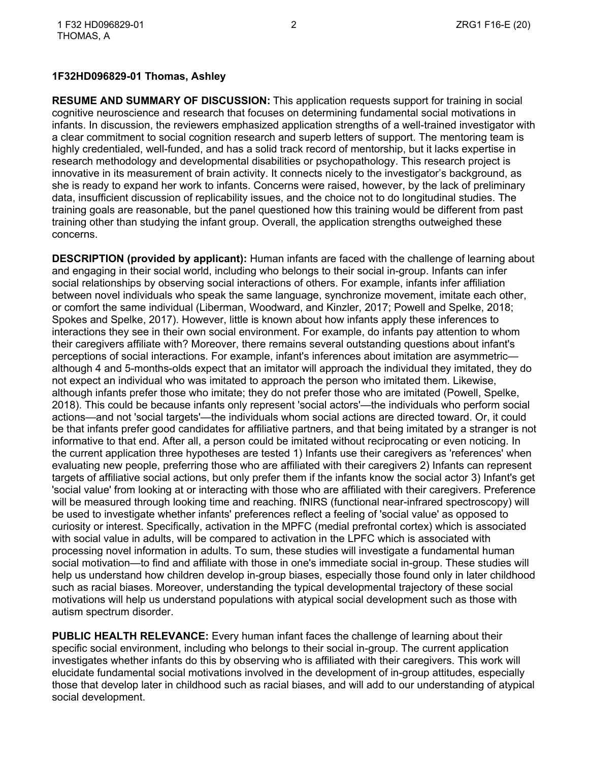### **1F32HD096829-01 Thomas, Ashley**

**RESUME AND SUMMARY OF DISCUSSION:** This application requests support for training in social cognitive neuroscience and research that focuses on determining fundamental social motivations in infants. In discussion, the reviewers emphasized application strengths of a well-trained investigator with a clear commitment to social cognition research and superb letters of support. The mentoring team is highly credentialed, well-funded, and has a solid track record of mentorship, but it lacks expertise in research methodology and developmental disabilities or psychopathology. This research project is innovative in its measurement of brain activity. It connects nicely to the investigator's background, as she is ready to expand her work to infants. Concerns were raised, however, by the lack of preliminary data, insufficient discussion of replicability issues, and the choice not to do longitudinal studies. The training goals are reasonable, but the panel questioned how this training would be different from past training other than studying the infant group. Overall, the application strengths outweighed these concerns.

**DESCRIPTION (provided by applicant):** Human infants are faced with the challenge of learning about and engaging in their social world, including who belongs to their social in-group. Infants can infer social relationships by observing social interactions of others. For example, infants infer affiliation between novel individuals who speak the same language, synchronize movement, imitate each other, or comfort the same individual (Liberman, Woodward, and Kinzler, 2017; Powell and Spelke, 2018; Spokes and Spelke, 2017). However, little is known about how infants apply these inferences to interactions they see in their own social environment. For example, do infants pay attention to whom their caregivers affiliate with? Moreover, there remains several outstanding questions about infant's perceptions of social interactions. For example, infant's inferences about imitation are asymmetric although 4 and 5-months-olds expect that an imitator will approach the individual they imitated, they do not expect an individual who was imitated to approach the person who imitated them. Likewise, although infants prefer those who imitate; they do not prefer those who are imitated (Powell, Spelke, 2018). This could be because infants only represent 'social actors'—the individuals who perform social actions—and not 'social targets'—the individuals whom social actions are directed toward. Or, it could be that infants prefer good candidates for affiliative partners, and that being imitated by a stranger is not informative to that end. After all, a person could be imitated without reciprocating or even noticing. In the current application three hypotheses are tested 1) Infants use their caregivers as 'references' when evaluating new people, preferring those who are affiliated with their caregivers 2) Infants can represent targets of affiliative social actions, but only prefer them if the infants know the social actor 3) Infant's get 'social value' from looking at or interacting with those who are affiliated with their caregivers. Preference will be measured through looking time and reaching. fNIRS (functional near-infrared spectroscopy) will be used to investigate whether infants' preferences reflect a feeling of 'social value' as opposed to curiosity or interest. Specifically, activation in the MPFC (medial prefrontal cortex) which is associated with social value in adults, will be compared to activation in the LPFC which is associated with processing novel information in adults. To sum, these studies will investigate a fundamental human social motivation—to find and affiliate with those in one's immediate social in-group. These studies will help us understand how children develop in-group biases, especially those found only in later childhood such as racial biases. Moreover, understanding the typical developmental trajectory of these social motivations will help us understand populations with atypical social development such as those with autism spectrum disorder.

**PUBLIC HEALTH RELEVANCE:** Every human infant faces the challenge of learning about their specific social environment, including who belongs to their social in-group. The current application investigates whether infants do this by observing who is affiliated with their caregivers. This work will elucidate fundamental social motivations involved in the development of in-group attitudes, especially those that develop later in childhood such as racial biases, and will add to our understanding of atypical social development.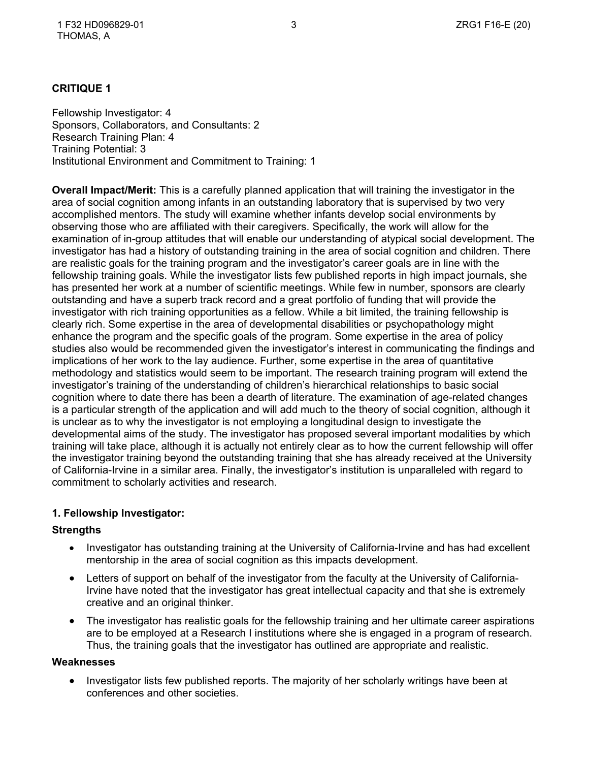### **CRITIQUE 1**

Fellowship Investigator: 4 Sponsors, Collaborators, and Consultants: 2 Research Training Plan: 4 Training Potential: 3 Institutional Environment and Commitment to Training: 1

**Overall Impact/Merit:** This is a carefully planned application that will training the investigator in the area of social cognition among infants in an outstanding laboratory that is supervised by two very accomplished mentors. The study will examine whether infants develop social environments by observing those who are affiliated with their caregivers. Specifically, the work will allow for the examination of in-group attitudes that will enable our understanding of atypical social development. The investigator has had a history of outstanding training in the area of social cognition and children. There are realistic goals for the training program and the investigator's career goals are in line with the fellowship training goals. While the investigator lists few published reports in high impact journals, she has presented her work at a number of scientific meetings. While few in number, sponsors are clearly outstanding and have a superb track record and a great portfolio of funding that will provide the investigator with rich training opportunities as a fellow. While a bit limited, the training fellowship is clearly rich. Some expertise in the area of developmental disabilities or psychopathology might enhance the program and the specific goals of the program. Some expertise in the area of policy studies also would be recommended given the investigator's interest in communicating the findings and implications of her work to the lay audience. Further, some expertise in the area of quantitative methodology and statistics would seem to be important. The research training program will extend the investigator's training of the understanding of children's hierarchical relationships to basic social cognition where to date there has been a dearth of literature. The examination of age-related changes is a particular strength of the application and will add much to the theory of social cognition, although it is unclear as to why the investigator is not employing a longitudinal design to investigate the developmental aims of the study. The investigator has proposed several important modalities by which training will take place, although it is actually not entirely clear as to how the current fellowship will offer the investigator training beyond the outstanding training that she has already received at the University of California-Irvine in a similar area. Finally, the investigator's institution is unparalleled with regard to commitment to scholarly activities and research.

### **1. Fellowship Investigator:**

### **Strengths**

- Investigator has outstanding training at the University of California-Irvine and has had excellent mentorship in the area of social cognition as this impacts development.
- Letters of support on behalf of the investigator from the faculty at the University of California-Irvine have noted that the investigator has great intellectual capacity and that she is extremely creative and an original thinker.
- The investigator has realistic goals for the fellowship training and her ultimate career aspirations are to be employed at a Research I institutions where she is engaged in a program of research. Thus, the training goals that the investigator has outlined are appropriate and realistic.

#### **Weaknesses**

• Investigator lists few published reports. The majority of her scholarly writings have been at conferences and other societies.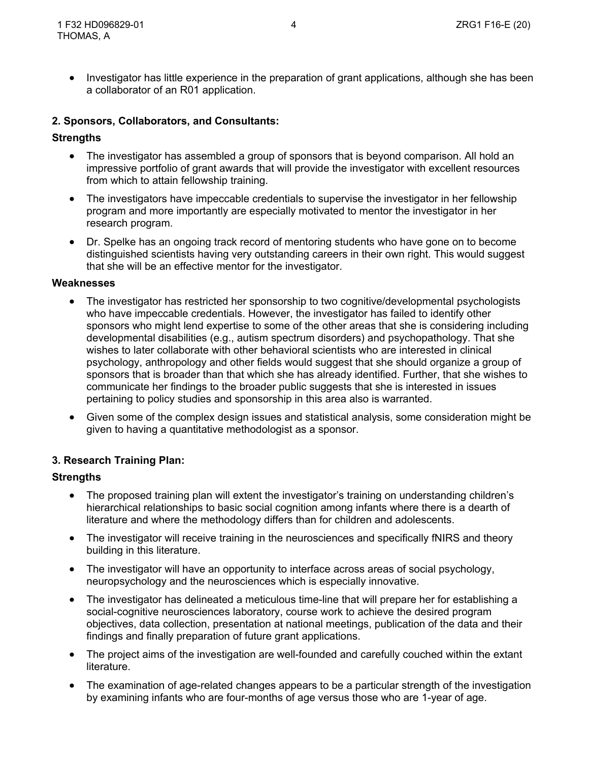• Investigator has little experience in the preparation of grant applications, although she has been a collaborator of an R01 application.

### **2. Sponsors, Collaborators, and Consultants:**

#### **Strengths**

- The investigator has assembled a group of sponsors that is beyond comparison. All hold an impressive portfolio of grant awards that will provide the investigator with excellent resources from which to attain fellowship training.
- The investigators have impeccable credentials to supervise the investigator in her fellowship program and more importantly are especially motivated to mentor the investigator in her research program.
- Dr. Spelke has an ongoing track record of mentoring students who have gone on to become distinguished scientists having very outstanding careers in their own right. This would suggest that she will be an effective mentor for the investigator.

#### **Weaknesses**

- The investigator has restricted her sponsorship to two cognitive/developmental psychologists who have impeccable credentials. However, the investigator has failed to identify other sponsors who might lend expertise to some of the other areas that she is considering including developmental disabilities (e.g., autism spectrum disorders) and psychopathology. That she wishes to later collaborate with other behavioral scientists who are interested in clinical psychology, anthropology and other fields would suggest that she should organize a group of sponsors that is broader than that which she has already identified. Further, that she wishes to communicate her findings to the broader public suggests that she is interested in issues pertaining to policy studies and sponsorship in this area also is warranted.
- Given some of the complex design issues and statistical analysis, some consideration might be given to having a quantitative methodologist as a sponsor.

### **3. Research Training Plan:**

- The proposed training plan will extent the investigator's training on understanding children's hierarchical relationships to basic social cognition among infants where there is a dearth of literature and where the methodology differs than for children and adolescents.
- The investigator will receive training in the neurosciences and specifically fNIRS and theory building in this literature.
- The investigator will have an opportunity to interface across areas of social psychology, neuropsychology and the neurosciences which is especially innovative.
- The investigator has delineated a meticulous time-line that will prepare her for establishing a social-cognitive neurosciences laboratory, course work to achieve the desired program objectives, data collection, presentation at national meetings, publication of the data and their findings and finally preparation of future grant applications.
- The project aims of the investigation are well-founded and carefully couched within the extant literature.
- The examination of age-related changes appears to be a particular strength of the investigation by examining infants who are four-months of age versus those who are 1-year of age.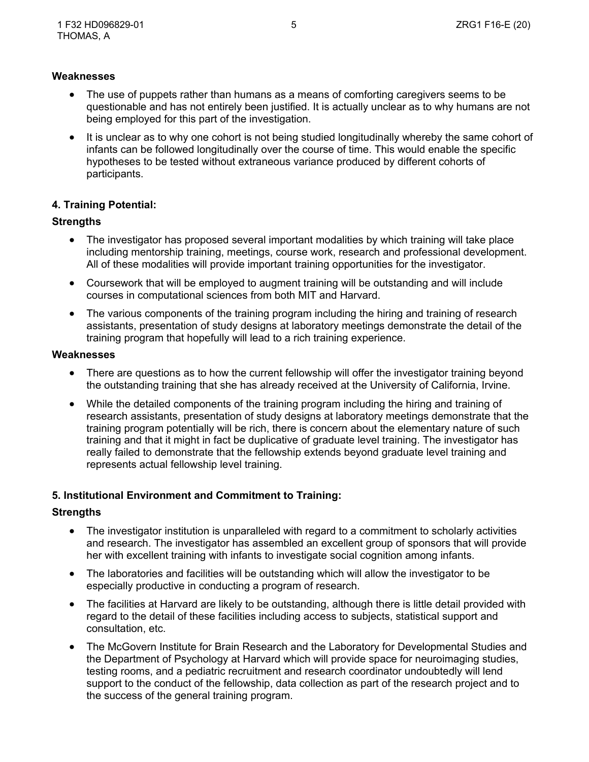- The use of puppets rather than humans as a means of comforting caregivers seems to be questionable and has not entirely been justified. It is actually unclear as to why humans are not being employed for this part of the investigation.
- It is unclear as to why one cohort is not being studied longitudinally whereby the same cohort of infants can be followed longitudinally over the course of time. This would enable the specific hypotheses to be tested without extraneous variance produced by different cohorts of participants.

## **4. Training Potential:**

## **Strengths**

- The investigator has proposed several important modalities by which training will take place including mentorship training, meetings, course work, research and professional development. All of these modalities will provide important training opportunities for the investigator.
- Coursework that will be employed to augment training will be outstanding and will include courses in computational sciences from both MIT and Harvard.
- The various components of the training program including the hiring and training of research assistants, presentation of study designs at laboratory meetings demonstrate the detail of the training program that hopefully will lead to a rich training experience.

#### **Weaknesses**

- There are questions as to how the current fellowship will offer the investigator training beyond the outstanding training that she has already received at the University of California, Irvine.
- While the detailed components of the training program including the hiring and training of research assistants, presentation of study designs at laboratory meetings demonstrate that the training program potentially will be rich, there is concern about the elementary nature of such training and that it might in fact be duplicative of graduate level training. The investigator has really failed to demonstrate that the fellowship extends beyond graduate level training and represents actual fellowship level training.

### **5. Institutional Environment and Commitment to Training:**

- The investigator institution is unparalleled with regard to a commitment to scholarly activities and research. The investigator has assembled an excellent group of sponsors that will provide her with excellent training with infants to investigate social cognition among infants.
- The laboratories and facilities will be outstanding which will allow the investigator to be especially productive in conducting a program of research.
- The facilities at Harvard are likely to be outstanding, although there is little detail provided with regard to the detail of these facilities including access to subjects, statistical support and consultation, etc.
- The McGovern Institute for Brain Research and the Laboratory for Developmental Studies and the Department of Psychology at Harvard which will provide space for neuroimaging studies, testing rooms, and a pediatric recruitment and research coordinator undoubtedly will lend support to the conduct of the fellowship, data collection as part of the research project and to the success of the general training program.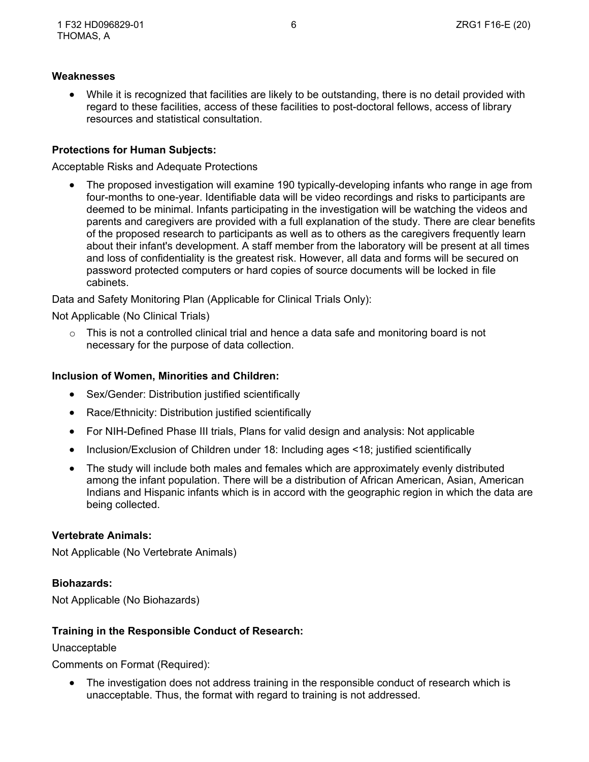While it is recognized that facilities are likely to be outstanding, there is no detail provided with regard to these facilities, access of these facilities to post-doctoral fellows, access of library resources and statistical consultation.

### **Protections for Human Subjects:**

Acceptable Risks and Adequate Protections

 The proposed investigation will examine 190 typically-developing infants who range in age from four-months to one-year. Identifiable data will be video recordings and risks to participants are deemed to be minimal. Infants participating in the investigation will be watching the videos and parents and caregivers are provided with a full explanation of the study. There are clear benefits of the proposed research to participants as well as to others as the caregivers frequently learn about their infant's development. A staff member from the laboratory will be present at all times and loss of confidentiality is the greatest risk. However, all data and forms will be secured on password protected computers or hard copies of source documents will be locked in file cabinets.

Data and Safety Monitoring Plan (Applicable for Clinical Trials Only):

Not Applicable (No Clinical Trials)

 $\circ$  This is not a controlled clinical trial and hence a data safe and monitoring board is not necessary for the purpose of data collection.

#### **Inclusion of Women, Minorities and Children:**

- Sex/Gender: Distribution justified scientifically
- Race/Ethnicity: Distribution justified scientifically
- For NIH-Defined Phase III trials, Plans for valid design and analysis: Not applicable
- Inclusion/Exclusion of Children under 18: Including ages <18; justified scientifically
- The study will include both males and females which are approximately evenly distributed among the infant population. There will be a distribution of African American, Asian, American Indians and Hispanic infants which is in accord with the geographic region in which the data are being collected.

### **Vertebrate Animals:**

Not Applicable (No Vertebrate Animals)

### **Biohazards:**

Not Applicable (No Biohazards)

### **Training in the Responsible Conduct of Research:**

### Unacceptable

Comments on Format (Required):

 The investigation does not address training in the responsible conduct of research which is unacceptable. Thus, the format with regard to training is not addressed.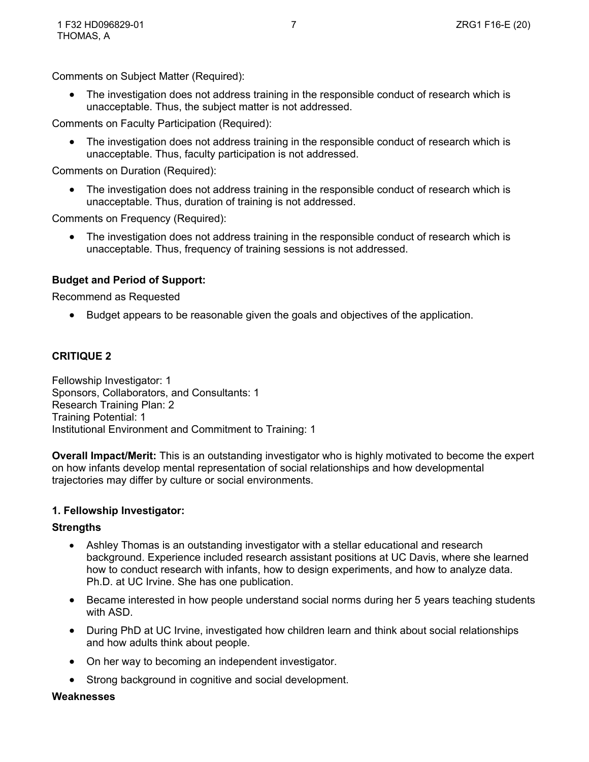Comments on Subject Matter (Required):

 The investigation does not address training in the responsible conduct of research which is unacceptable. Thus, the subject matter is not addressed.

Comments on Faculty Participation (Required):

• The investigation does not address training in the responsible conduct of research which is unacceptable. Thus, faculty participation is not addressed.

Comments on Duration (Required):

 The investigation does not address training in the responsible conduct of research which is unacceptable. Thus, duration of training is not addressed.

Comments on Frequency (Required):

 The investigation does not address training in the responsible conduct of research which is unacceptable. Thus, frequency of training sessions is not addressed.

## **Budget and Period of Support:**

Recommend as Requested

Budget appears to be reasonable given the goals and objectives of the application.

### **CRITIQUE 2**

Fellowship Investigator: 1 Sponsors, Collaborators, and Consultants: 1 Research Training Plan: 2 Training Potential: 1 Institutional Environment and Commitment to Training: 1

**Overall Impact/Merit:** This is an outstanding investigator who is highly motivated to become the expert on how infants develop mental representation of social relationships and how developmental trajectories may differ by culture or social environments.

#### **1. Fellowship Investigator:**

#### **Strengths**

- Ashley Thomas is an outstanding investigator with a stellar educational and research background. Experience included research assistant positions at UC Davis, where she learned how to conduct research with infants, how to design experiments, and how to analyze data. Ph.D. at UC Irvine. She has one publication.
- Became interested in how people understand social norms during her 5 years teaching students with ASD.
- During PhD at UC Irvine, investigated how children learn and think about social relationships and how adults think about people.
- On her way to becoming an independent investigator.
- Strong background in cognitive and social development.

#### **Weaknesses**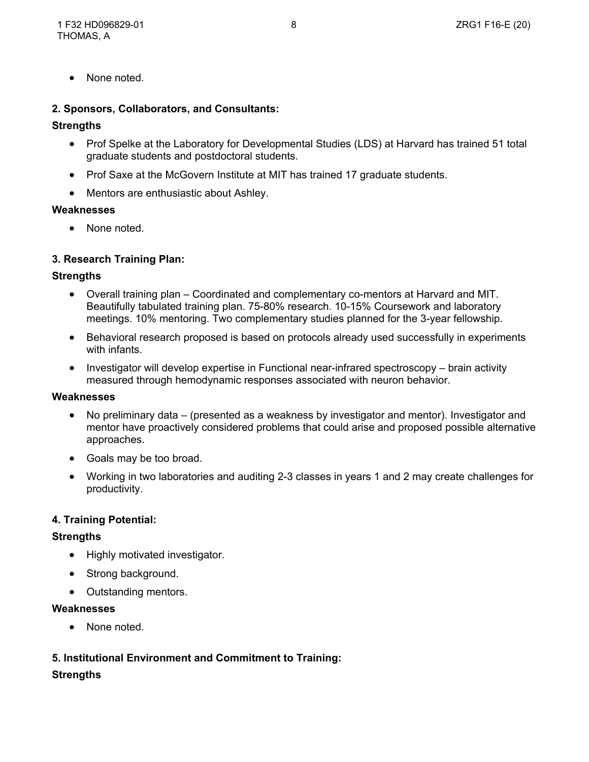• None noted.

### **2. Sponsors, Collaborators, and Consultants:**

### **Strengths**

- Prof Spelke at the Laboratory for Developmental Studies (LDS) at Harvard has trained 51 total graduate students and postdoctoral students.
- Prof Saxe at the McGovern Institute at MIT has trained 17 graduate students.
- Mentors are enthusiastic about Ashley.

### **Weaknesses**

• None noted.

# **3. Research Training Plan:**

### **Strengths**

- Overall training plan Coordinated and complementary co-mentors at Harvard and MIT. Beautifully tabulated training plan. 75-80% research. 10-15% Coursework and laboratory meetings. 10% mentoring. Two complementary studies planned for the 3-year fellowship.
- Behavioral research proposed is based on protocols already used successfully in experiments with infants.
- Investigator will develop expertise in Functional near-infrared spectroscopy brain activity measured through hemodynamic responses associated with neuron behavior.

### **Weaknesses**

- No preliminary data (presented as a weakness by investigator and mentor). Investigator and mentor have proactively considered problems that could arise and proposed possible alternative approaches.
- Goals may be too broad.
- Working in two laboratories and auditing 2-3 classes in years 1 and 2 may create challenges for productivity.

### **4. Training Potential:**

### **Strengths**

- Highly motivated investigator.
- Strong background.
- Outstanding mentors.

### **Weaknesses**

• None noted.

# **5. Institutional Environment and Commitment to Training:**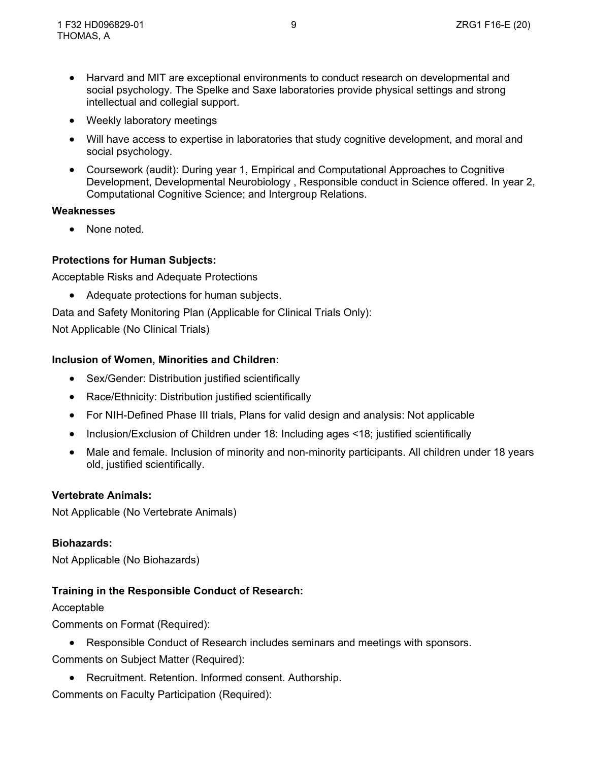- Harvard and MIT are exceptional environments to conduct research on developmental and social psychology. The Spelke and Saxe laboratories provide physical settings and strong intellectual and collegial support.
- Weekly laboratory meetings
- Will have access to expertise in laboratories that study cognitive development, and moral and social psychology.
- Coursework (audit): During year 1, Empirical and Computational Approaches to Cognitive Development, Developmental Neurobiology , Responsible conduct in Science offered. In year 2, Computational Cognitive Science; and Intergroup Relations.

None noted.

## **Protections for Human Subjects:**

Acceptable Risks and Adequate Protections

Adequate protections for human subjects.

Data and Safety Monitoring Plan (Applicable for Clinical Trials Only):

Not Applicable (No Clinical Trials)

### **Inclusion of Women, Minorities and Children:**

- Sex/Gender: Distribution justified scientifically
- Race/Ethnicity: Distribution justified scientifically
- For NIH-Defined Phase III trials, Plans for valid design and analysis: Not applicable
- Inclusion/Exclusion of Children under 18: Including ages <18; justified scientifically
- Male and female. Inclusion of minority and non-minority participants. All children under 18 years old, justified scientifically.

### **Vertebrate Animals:**

Not Applicable (No Vertebrate Animals)

### **Biohazards:**

Not Applicable (No Biohazards)

# **Training in the Responsible Conduct of Research:**

Acceptable

Comments on Format (Required):

Responsible Conduct of Research includes seminars and meetings with sponsors.

Comments on Subject Matter (Required):

Recruitment. Retention. Informed consent. Authorship.

Comments on Faculty Participation (Required):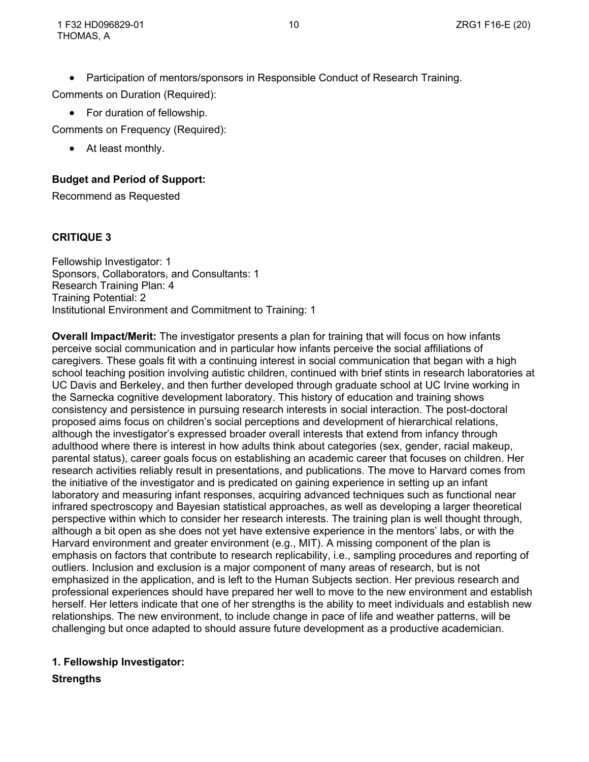• Participation of mentors/sponsors in Responsible Conduct of Research Training.

Comments on Duration (Required):

• For duration of fellowship.

Comments on Frequency (Required):

At least monthly.

# **Budget and Period of Support:**

Recommend as Requested

# **CRITIQUE 3**

Fellowship Investigator: 1 Sponsors, Collaborators, and Consultants: 1 Research Training Plan: 4 Training Potential: 2 Institutional Environment and Commitment to Training: 1

**Overall Impact/Merit:** The investigator presents a plan for training that will focus on how infants perceive social communication and in particular how infants perceive the social affiliations of caregivers. These goals fit with a continuing interest in social communication that began with a high school teaching position involving autistic children, continued with brief stints in research laboratories at UC Davis and Berkeley, and then further developed through graduate school at UC Irvine working in the Sarnecka cognitive development laboratory. This history of education and training shows consistency and persistence in pursuing research interests in social interaction. The post-doctoral proposed aims focus on children's social perceptions and development of hierarchical relations, although the investigator's expressed broader overall interests that extend from infancy through adulthood where there is interest in how adults think about categories (sex, gender, racial makeup, parental status), career goals focus on establishing an academic career that focuses on children. Her research activities reliably result in presentations, and publications. The move to Harvard comes from the initiative of the investigator and is predicated on gaining experience in setting up an infant laboratory and measuring infant responses, acquiring advanced techniques such as functional near infrared spectroscopy and Bayesian statistical approaches, as well as developing a larger theoretical perspective within which to consider her research interests. The training plan is well thought through, although a bit open as she does not yet have extensive experience in the mentors' labs, or with the Harvard environment and greater environment (e.g., MIT). A missing component of the plan is emphasis on factors that contribute to research replicability, i.e., sampling procedures and reporting of outliers. Inclusion and exclusion is a major component of many areas of research, but is not emphasized in the application, and is left to the Human Subjects section. Her previous research and professional experiences should have prepared her well to move to the new environment and establish herself. Her letters indicate that one of her strengths is the ability to meet individuals and establish new relationships. The new environment, to include change in pace of life and weather patterns, will be challenging but once adapted to should assure future development as a productive academician.

# **1. Fellowship Investigator:**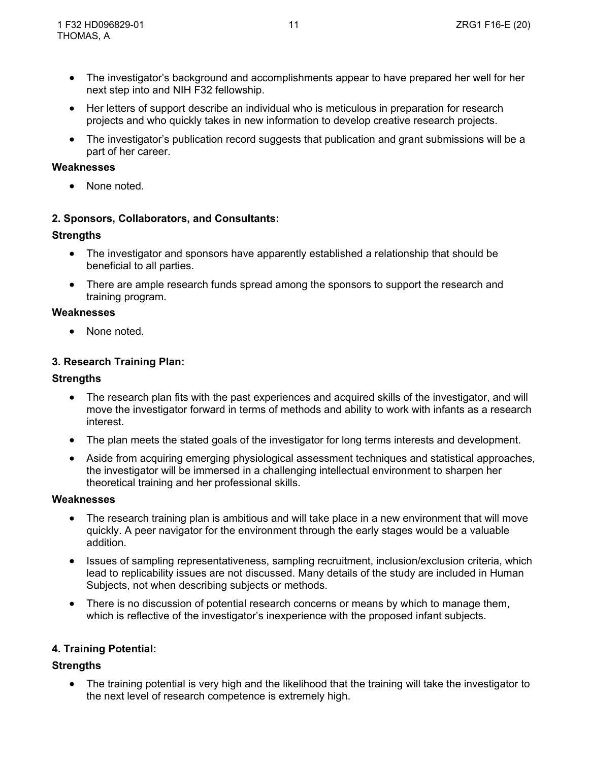- The investigator's background and accomplishments appear to have prepared her well for her next step into and NIH F32 fellowship.
- Her letters of support describe an individual who is meticulous in preparation for research projects and who quickly takes in new information to develop creative research projects.
- The investigator's publication record suggests that publication and grant submissions will be a part of her career.

None noted.

### **2. Sponsors, Collaborators, and Consultants:**

### **Strengths**

- The investigator and sponsors have apparently established a relationship that should be beneficial to all parties.
- There are ample research funds spread among the sponsors to support the research and training program.

#### **Weaknesses**

None noted.

## **3. Research Training Plan:**

#### **Strengths**

- The research plan fits with the past experiences and acquired skills of the investigator, and will move the investigator forward in terms of methods and ability to work with infants as a research interest.
- The plan meets the stated goals of the investigator for long terms interests and development.
- Aside from acquiring emerging physiological assessment techniques and statistical approaches, the investigator will be immersed in a challenging intellectual environment to sharpen her theoretical training and her professional skills.

#### **Weaknesses**

- The research training plan is ambitious and will take place in a new environment that will move quickly. A peer navigator for the environment through the early stages would be a valuable addition.
- Issues of sampling representativeness, sampling recruitment, inclusion/exclusion criteria, which lead to replicability issues are not discussed. Many details of the study are included in Human Subjects, not when describing subjects or methods.
- There is no discussion of potential research concerns or means by which to manage them, which is reflective of the investigator's inexperience with the proposed infant subjects.

### **4. Training Potential:**

### **Strengths**

• The training potential is very high and the likelihood that the training will take the investigator to the next level of research competence is extremely high.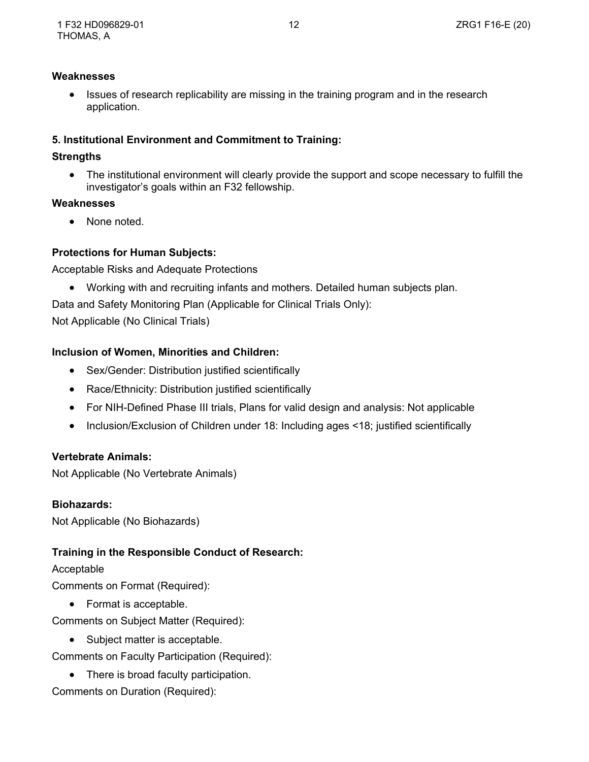Issues of research replicability are missing in the training program and in the research application.

# **5. Institutional Environment and Commitment to Training:**

## **Strengths**

• The institutional environment will clearly provide the support and scope necessary to fulfill the investigator's goals within an F32 fellowship.

### **Weaknesses**

• None noted.

# **Protections for Human Subjects:**

Acceptable Risks and Adequate Protections

Working with and recruiting infants and mothers. Detailed human subjects plan.

Data and Safety Monitoring Plan (Applicable for Clinical Trials Only):

Not Applicable (No Clinical Trials)

# **Inclusion of Women, Minorities and Children:**

- Sex/Gender: Distribution justified scientifically
- Race/Ethnicity: Distribution justified scientifically
- For NIH-Defined Phase III trials, Plans for valid design and analysis: Not applicable
- Inclusion/Exclusion of Children under 18: Including ages <18; justified scientifically

# **Vertebrate Animals:**

Not Applicable (No Vertebrate Animals)

# **Biohazards:**

Not Applicable (No Biohazards)

# **Training in the Responsible Conduct of Research:**

### Acceptable

Comments on Format (Required):

• Format is acceptable.

Comments on Subject Matter (Required):

• Subject matter is acceptable.

Comments on Faculty Participation (Required):

• There is broad faculty participation.

Comments on Duration (Required):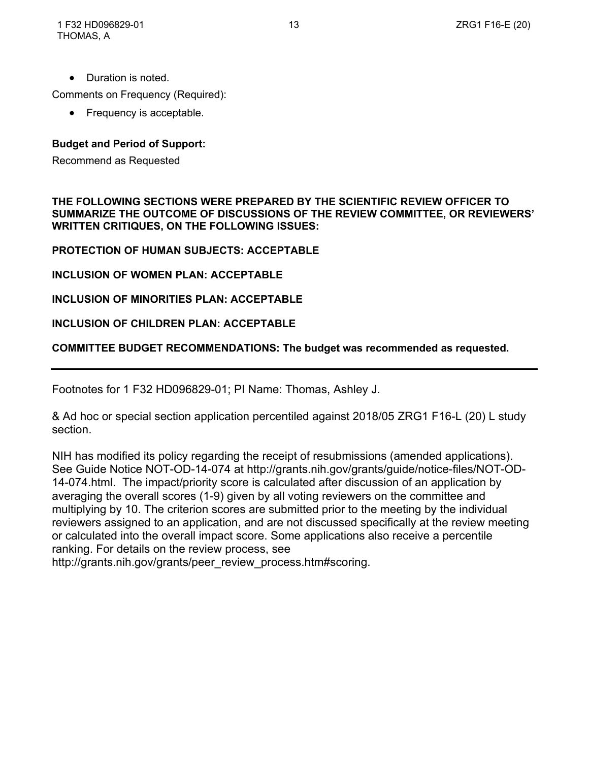• Duration is noted.

Comments on Frequency (Required):

• Frequency is acceptable.

### **Budget and Period of Support:**

Recommend as Requested

**THE FOLLOWING SECTIONS WERE PREPARED BY THE SCIENTIFIC REVIEW OFFICER TO SUMMARIZE THE OUTCOME OF DISCUSSIONS OF THE REVIEW COMMITTEE, OR REVIEWERS' WRITTEN CRITIQUES, ON THE FOLLOWING ISSUES:**

**PROTECTION OF HUMAN SUBJECTS: ACCEPTABLE**

**INCLUSION OF WOMEN PLAN: ACCEPTABLE**

**INCLUSION OF MINORITIES PLAN: ACCEPTABLE**

#### **INCLUSION OF CHILDREN PLAN: ACCEPTABLE**

### **COMMITTEE BUDGET RECOMMENDATIONS: The budget was recommended as requested.**

Footnotes for 1 F32 HD096829-01; PI Name: Thomas, Ashley J.

& Ad hoc or special section application percentiled against 2018/05 ZRG1 F16-L (20) L study section.

NIH has modified its policy regarding the receipt of resubmissions (amended applications). See Guide Notice NOT-OD-14-074 at http://grants.nih.gov/grants/guide/notice-files/NOT-OD-14-074.html. The impact/priority score is calculated after discussion of an application by averaging the overall scores (1-9) given by all voting reviewers on the committee and multiplying by 10. The criterion scores are submitted prior to the meeting by the individual reviewers assigned to an application, and are not discussed specifically at the review meeting or calculated into the overall impact score. Some applications also receive a percentile ranking. For details on the review process, see

http://grants.nih.gov/grants/peer\_review\_process.htm#scoring.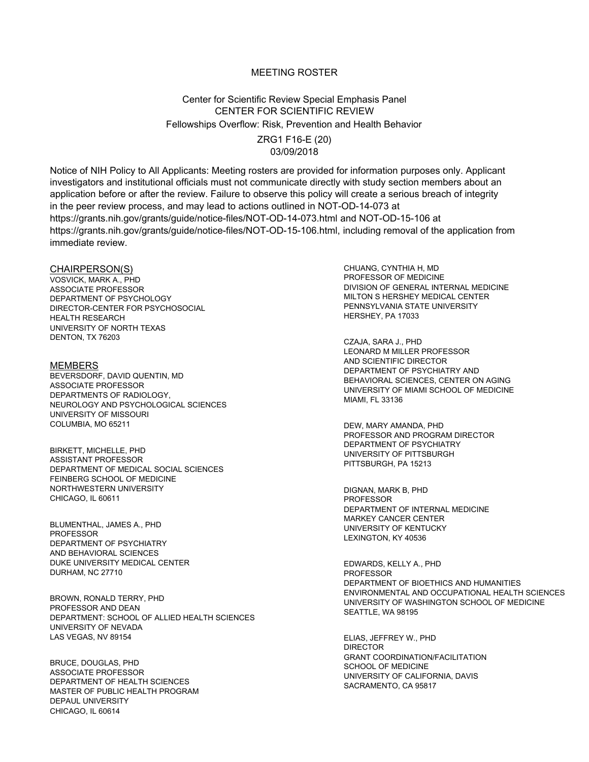#### MEETING ROSTER

## Center for Scientific Review Special Emphasis Panel CENTER FOR SCIENTIFIC REVIEW Fellowships Overflow: Risk, Prevention and Health Behavior

ZRG1 F16-E (20) 03/09/2018

Notice of NIH Policy to All Applicants: Meeting rosters are provided for information purposes only. Applicant investigators and institutional officials must not communicate directly with study section members about an application before or after the review. Failure to observe this policy will create a serious breach of integrity in the peer review process, and may lead to actions outlined in NOT-OD-14-073 at https://grants.nih.gov/grants/guide/notice-files/NOT-OD-14-073.html and NOT-OD-15-106 at https://grants.nih.gov/grants/guide/notice-files/NOT-OD-15-106.html, including removal of the application from immediate review.

CHAIRPERSON(S) VOSVICK, MARK A., PHD ASSOCIATE PROFESSOR DEPARTMENT OF PSYCHOLOGY DIRECTOR-CENTER FOR PSYCHOSOCIAL HEALTH RESEARCH UNIVERSITY OF NORTH TEXAS DENTON, TX <sup>76203</sup> CZAJA, SARA J., PHD

MEMBERS BEVERSDORF, DAVID QUENTIN, MD ASSOCIATE PROFESSOR DEPARTMENTS OF RADIOLOGY, NEUROLOGY AND PSYCHOLOGICAL SCIENCES UNIVERSITY OF MISSOURI COLUMBIA, MO 65211 DEW, MARY AMANDA, PHD

BIRKETT, MICHELLE, PHD ASSISTANT PROFESSOR DEPARTMENT OF MEDICAL SOCIAL SCIENCES FEINBERG SCHOOL OF MEDICINE NORTHWESTERN UNIVERSITY CHICAGO, IL 60611

BLUMENTHAL, JAMES A., PHD PROFESSOR DEPARTMENT OF PSYCHIATRY AND BEHAVIORAL SCIENCES DUKE UNIVERSITY MEDICAL CENTER DURHAM, NC 27710

BROWN, RONALD TERRY, PHD PROFESSOR AND DEAN DEPARTMENT: SCHOOL OF ALLIED HEALTH SCIENCES UNIVERSITY OF NEVADA LAS VEGAS, NV 89154 ELIAS, JEFFREY W., PHD

BRUCE, DOUGLAS, PHD ASSOCIATE PROFESSOR DEPARTMENT OF HEALTH SCIENCES MASTER OF PUBLIC HEALTH PROGRAM DEPAUL UNIVERSITY CHICAGO, IL 60614

CHUANG, CYNTHIA H, MD PROFESSOR OF MEDICINE DIVISION OF GENERAL INTERNAL MEDICINE MILTON S HERSHEY MEDICAL CENTER PENNSYLVANIA STATE UNIVERSITY HERSHEY, PA 17033

LEONARD M MILLER PROFESSOR AND SCIENTIFIC DIRECTOR DEPARTMENT OF PSYCHIATRY AND BEHAVIORAL SCIENCES, CENTER ON AGING UNIVERSITY OF MIAMI SCHOOL OF MEDICINE MIAMI, FL 33136

PROFESSOR AND PROGRAM DIRECTOR DEPARTMENT OF PSYCHIATRY UNIVERSITY OF PITTSBURGH PITTSBURGH, PA 15213

DIGNAN, MARK B, PHD PROFESSOR DEPARTMENT OF INTERNAL MEDICINE MARKEY CANCER CENTER UNIVERSITY OF KENTUCKY LEXINGTON, KY 40536

EDWARDS, KELLY A., PHD PROFESSOR DEPARTMENT OF BIOETHICS AND HUMANITIES ENVIRONMENTAL AND OCCUPATIONAL HEALTH SCIENCES UNIVERSITY OF WASHINGTON SCHOOL OF MEDICINE SEATTLE, WA 98195

DIRECTOR GRANT COORDINATION/FACILITATION SCHOOL OF MEDICINE UNIVERSITY OF CALIFORNIA, DAVIS SACRAMENTO, CA 95817